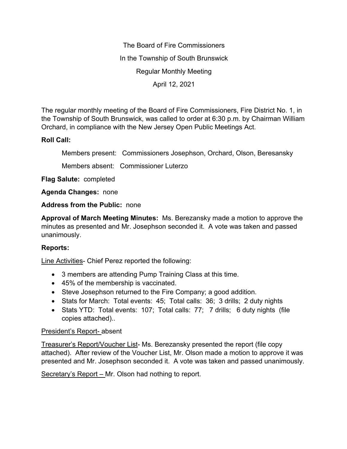The Board of Fire Commissioners In the Township of South Brunswick Regular Monthly Meeting April 12, 2021

The regular monthly meeting of the Board of Fire Commissioners, Fire District No. 1, in the Township of South Brunswick, was called to order at 6:30 p.m. by Chairman William Orchard, in compliance with the New Jersey Open Public Meetings Act.

## **Roll Call:**

Members present: Commissioners Josephson, Orchard, Olson, Beresansky

Members absent: Commissioner Luterzo

**Flag Salute:** completed

**Agenda Changes:** none

**Address from the Public:** none

**Approval of March Meeting Minutes:** Ms. Berezansky made a motion to approve the minutes as presented and Mr. Josephson seconded it. A vote was taken and passed unanimously.

# **Reports:**

Line Activities- Chief Perez reported the following:

- 3 members are attending Pump Training Class at this time.
- 45% of the membership is vaccinated.
- Steve Josephson returned to the Fire Company; a good addition.
- Stats for March: Total events: 45; Total calls: 36; 3 drills; 2 duty nights
- Stats YTD: Total events: 107; Total calls: 77; 7 drills; 6 duty nights (file copies attached)..

### President's Report- absent

Treasurer's Report/Voucher List- Ms. Berezansky presented the report (file copy attached). After review of the Voucher List, Mr. Olson made a motion to approve it was presented and Mr. Josephson seconded it. A vote was taken and passed unanimously.

Secretary's Report – Mr. Olson had nothing to report.